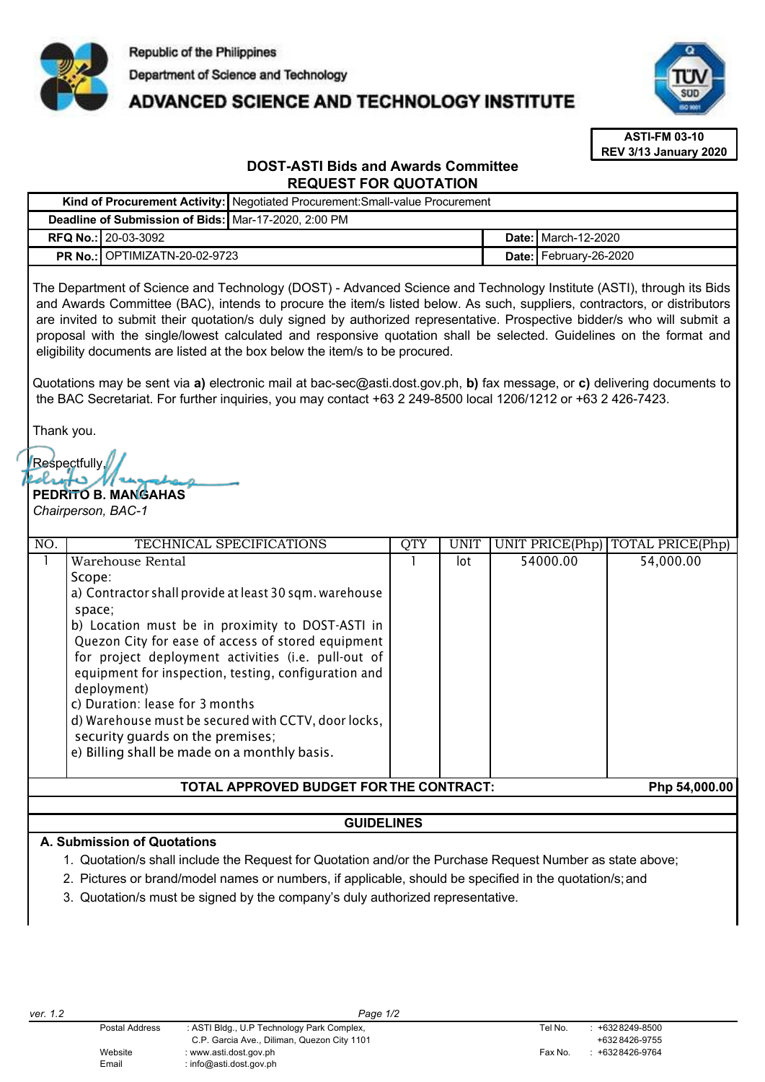

# ADVANCED SCIENCE AND TECHNOLOGY INSTITUTE



**ASTI-FM 03-10 REV 3/13 January 2020**

# **DOST-ASTI Bids and Awards Committee REQUEST FOR QUOTATION**

|                                                                                                                                                                                                                                                                                                                                                                                                                                                                                                                                                                                                                                                                                                                 | Kind of Procurement Activity: Negotiated Procurement: Small-value Procurement                             |              |             |                        |                                    |
|-----------------------------------------------------------------------------------------------------------------------------------------------------------------------------------------------------------------------------------------------------------------------------------------------------------------------------------------------------------------------------------------------------------------------------------------------------------------------------------------------------------------------------------------------------------------------------------------------------------------------------------------------------------------------------------------------------------------|-----------------------------------------------------------------------------------------------------------|--------------|-------------|------------------------|------------------------------------|
| <b>Deadline of Submission of Bids:</b><br>Mar-17-2020, 2:00 PM                                                                                                                                                                                                                                                                                                                                                                                                                                                                                                                                                                                                                                                  |                                                                                                           |              |             |                        |                                    |
| <b>RFQ No.: 20-03-3092</b>                                                                                                                                                                                                                                                                                                                                                                                                                                                                                                                                                                                                                                                                                      |                                                                                                           |              |             | Date: March-12-2020    |                                    |
| <b>PR No.:</b> OPTIMIZATN-20-02-9723                                                                                                                                                                                                                                                                                                                                                                                                                                                                                                                                                                                                                                                                            |                                                                                                           |              |             | Date: February-26-2020 |                                    |
| The Department of Science and Technology (DOST) - Advanced Science and Technology Institute (ASTI), through its Bids<br>and Awards Committee (BAC), intends to procure the item/s listed below. As such, suppliers, contractors, or distributors<br>are invited to submit their quotation/s duly signed by authorized representative. Prospective bidder/s who will submit a<br>proposal with the single/lowest calculated and responsive quotation shall be selected. Guidelines on the format and<br>eligibility documents are listed at the box below the item/s to be procured.<br>Quotations may be sent via a) electronic mail at bac-sec@asti.dost.gov.ph, b) fax message, or c) delivering documents to |                                                                                                           |              |             |                        |                                    |
| the BAC Secretariat. For further inquiries, you may contact +63 2 249-8500 local 1206/1212 or +63 2 426-7423.                                                                                                                                                                                                                                                                                                                                                                                                                                                                                                                                                                                                   |                                                                                                           |              |             |                        |                                    |
| Thank you.                                                                                                                                                                                                                                                                                                                                                                                                                                                                                                                                                                                                                                                                                                      |                                                                                                           |              |             |                        |                                    |
| Respectfully,<br>PEDRITO B. MANGAHAS<br>Chairperson, BAC-1                                                                                                                                                                                                                                                                                                                                                                                                                                                                                                                                                                                                                                                      |                                                                                                           |              |             |                        |                                    |
| NO.                                                                                                                                                                                                                                                                                                                                                                                                                                                                                                                                                                                                                                                                                                             | TECHNICAL SPECIFICATIONS                                                                                  | <b>QTY</b>   | <b>UNIT</b> |                        | UNIT PRICE(Php)   TOTAL PRICE(Php) |
| $\mathbf{1}$<br>Warehouse Rental<br>Scope:<br>a) Contractor shall provide at least 30 sqm. warehouse<br>space;<br>b) Location must be in proximity to DOST-ASTI in<br>equipment for inspection, testing, configuration and<br>deployment)<br>c) Duration: lease for 3 months<br>d) Warehouse must be secured with CCTV, door locks,<br>security guards on the premises;<br>e) Billing shall be made on a monthly basis.                                                                                                                                                                                                                                                                                         | Quezon City for ease of access of stored equipment<br>for project deployment activities (i.e. pull-out of | $\mathbf{1}$ | lot         | 54000.00               | 54,000.00                          |
| TOTAL APPROVED BUDGET FOR THE CONTRACT:<br>Php 54,000.00                                                                                                                                                                                                                                                                                                                                                                                                                                                                                                                                                                                                                                                        |                                                                                                           |              |             |                        |                                    |
|                                                                                                                                                                                                                                                                                                                                                                                                                                                                                                                                                                                                                                                                                                                 |                                                                                                           |              |             |                        |                                    |
| <b>GUIDELINES</b>                                                                                                                                                                                                                                                                                                                                                                                                                                                                                                                                                                                                                                                                                               |                                                                                                           |              |             |                        |                                    |

# **A. Submission of Quotations**

- 1. Quotation/s shall include the Request for Quotation and/or the Purchase Request Number as state above;
- 2. Pictures or brand/model names or numbers, if applicable, should be specified in the quotation/s;and
- 3. Quotation/s must be signed by the company's duly authorized representative.